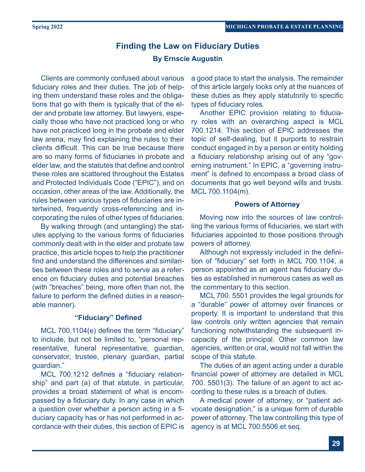# **Finding the Law on Fiduciary Duties By Ernscie Augustin**

Clients are commonly confused about various fiduciary roles and their duties. The job of helping them understand these roles and the obligations that go with them is typically that of the elder and probate law attorney. But lawyers, especially those who have not practiced long or who have not practiced long in the probate and elder law arena, may find explaining the rules to their clients difficult. This can be true because there are so many forms of fiduciaries in probate and elder law, and the statutes that define and control these roles are scattered throughout the Estates and Protected Individuals Code ("EPIC"), and on occasion, other areas of the law. Additionally, the rules between various types of fiduciaries are intertwined, frequently cross-referencing and incorporating the rules of other types of fiduciaries.

By walking through (and untangling) the statutes applying to the various forms of fiduciaries commonly dealt with in the elder and probate law practice, this article hopes to help the practitioner find and understand the differences and similarities between these roles and to serve as a reference on fiduciary duties and potential breaches (with "breaches" being, more often than not, the failure to perform the defined duties in a reasonable manner).

### **"Fiduciary" Defined**

MCL 700.1104(e) defines the term "fiduciary" to include, but not be limited to, "personal representative, funeral representative, guardian, conservator, trustee, plenary guardian, partial guardian."

MCL 700.1212 defines a "fiduciary relationship" and part (a) of that statute, in particular, provides a broad statement of what is encompassed by a fiduciary duty. In any case in which a question over whether a person acting in a fiduciary capacity has or has not performed in accordance with their duties, this section of EPIC is

a good place to start the analysis. The remainder of this article largely looks only at the nuances of these duties as they apply statutorily to specific types of fiduciary roles.

Another EPIC provision relating to fiduciary roles with an overarching aspect is MCL 700.1214. This section of EPIC addresses the topic of self-dealing, but it purports to restrain conduct engaged in by a person or entity holding a fiduciary relationship arising out of any "governing instrument." In EPIC, a "governing instrument" is defined to encompass a broad class of documents that go well beyond wills and trusts. MCL 700.1104(m).

# **Powers of Attorney**

Moving now into the sources of law controlling the various forms of fiduciaries, we start with fiduciaries appointed to those positions through powers of attorney.

Although not expressly included in the definition of "fiduciary" set forth in MCL 700.1104, a person appointed as an agent has fiduciary duties as established in numerous cases as well as the commentary to this section.

MCL 700. 5501 provides the legal grounds for a "durable" power of attorney over finances or property. It is important to understand that this law controls only written agencies that remain functioning notwithstanding the subsequent incapacity of the principal. Other common law agencies, written or oral, would not fall within the scope of this statute.

The duties of an agent acting under a durable financial power of attorney are detailed in MCL 700. 5501(3). The failure of an agent to act according to these rules is a breach of duties.

A medical power of attorney, or "patient advocate designation," is a unique form of durable power of attorney. The law controlling this type of agency is at MCL 700.5506 et seq.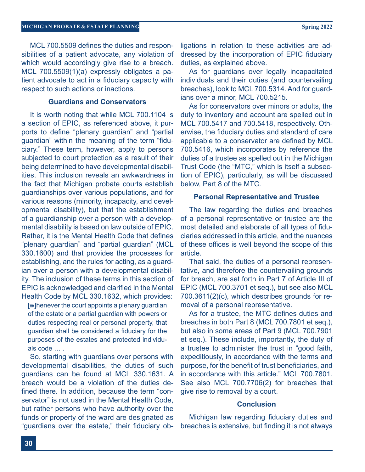MCL 700.5509 defines the duties and responsibilities of a patient advocate, any violation of which would accordingly give rise to a breach. MCL 700.5509(1)(a) expressly obligates a patient advocate to act in a fiduciary capacity with respect to such actions or inactions.

# **Guardians and Conservators**

It is worth noting that while MCL 700.1104 is a section of EPIC, as referenced above, it purports to define "plenary guardian" and "partial guardian" within the meaning of the term "fiduciary." These term, however, apply to persons subjected to court protection as a result of their being determined to have developmental disabilities. This inclusion reveals an awkwardness in the fact that Michigan probate courts establish guardianships over various populations, and for various reasons (minority, incapacity, and developmental disability), but that the establishment of a guardianship over a person with a developmental disability is based on law outside of EPIC. Rather, it is the Mental Health Code that defines "plenary guardian" and "partial guardian" (MCL 330.1600) and that provides the processes for establishing, and the rules for acting, as a guardian over a person with a developmental disability. The inclusion of these terms in this section of EPIC is acknowledged and clarified in the Mental Health Code by MCL 330.1632, which provides:

[w]henever the court appoints a plenary guardian of the estate or a partial guardian with powers or duties respecting real or personal property, that guardian shall be considered a fiduciary for the purposes of the estates and protected individuals code … .

So, starting with guardians over persons with developmental disabilities, the duties of such guardians can be found at MCL 330.1631. A breach would be a violation of the duties defined there. In addition, because the term "conservator" is not used in the Mental Health Code, but rather persons who have authority over the funds or property of the ward are designated as "guardians over the estate," their fiduciary ob-

ligations in relation to these activities are addressed by the incorporation of EPIC fiduciary duties, as explained above.

As for guardians over legally incapacitated individuals and their duties (and countervailing breaches), look to MCL 700.5314. And for guardians over a minor, MCL 700.5215.

As for conservators over minors or adults, the duty to inventory and account are spelled out in MCL 700.5417 and 700.5418, respectively. Otherwise, the fiduciary duties and standard of care applicable to a conservator are defined by MCL 700.5416, which incorporates by reference the duties of a trustee as spelled out in the Michigan Trust Code (the "MTC," which is itself a subsection of EPIC), particularly, as will be discussed below, Part 8 of the MTC.

# **Personal Representative and Trustee**

The law regarding the duties and breaches of a personal representative or trustee are the most detailed and elaborate of all types of fiduciaries addressed in this article, and the nuances of these offices is well beyond the scope of this article.

That said, the duties of a personal representative, and therefore the countervailing grounds for breach, are set forth in Part 7 of Article III of EPIC (MCL 700.3701 et seq.), but see also MCL 700.3611(2)(c), which describes grounds for removal of a personal representative.

As for a trustee, the MTC defines duties and breaches in both Part 8 (MCL 700.7801 et seq.), but also in some areas of Part 9 (MCL 700.7901 et seq.). These include, importantly, the duty of a trustee to administer the trust in "good faith, expeditiously, in accordance with the terms and purpose, for the benefit of trust beneficiaries, and in accordance with this article." MCL 700.7801. See also MCL 700.7706(2) for breaches that give rise to removal by a court.

### **Conclusion**

Michigan law regarding fiduciary duties and breaches is extensive, but finding it is not always